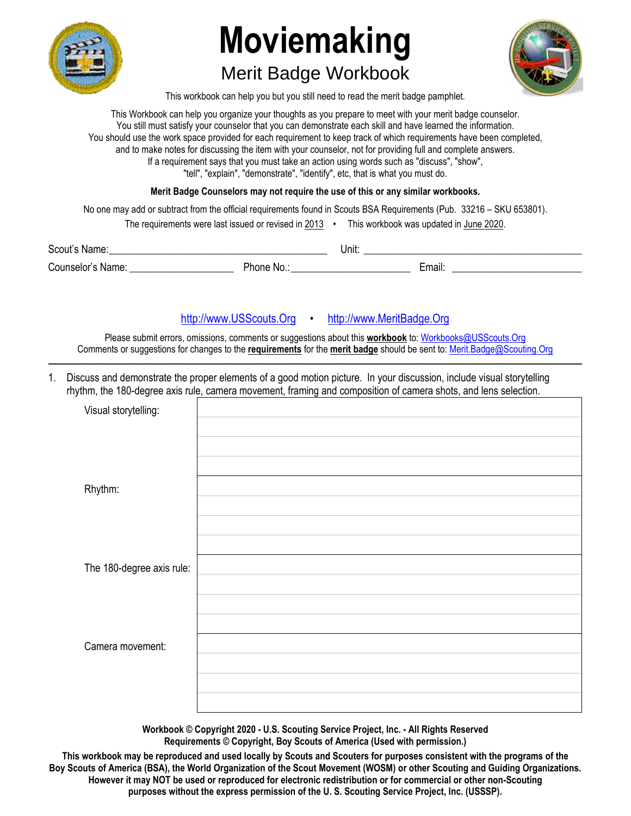

## **Moviemaking**

## Merit Badge Workbook



This workbook can help you but you still need to read the merit badge pamphlet.

This Workbook can help you organize your thoughts as you prepare to meet with your merit badge counselor. You still must satisfy your counselor that you can demonstrate each skill and have learned the information. You should use the work space provided for each requirement to keep track of which requirements have been completed, and to make notes for discussing the item with your counselor, not for providing full and complete answers. If a requirement says that you must take an action using words such as "discuss", "show", "tell", "explain", "demonstrate", "identify", etc, that is what you must do.

**Merit Badge Counselors may not require the use of this or any similar workbooks.**

No one may add or subtract from the official requirements found in Scouts BSA Requirements (Pub. 33216 – SKU 653801).

| The requirements were last issued or revised in 2013 |  | This workbook was updated in June 2020. |
|------------------------------------------------------|--|-----------------------------------------|
|------------------------------------------------------|--|-----------------------------------------|

Scout's Name: \_\_\_\_\_\_\_\_\_\_\_\_\_\_\_\_\_\_\_\_\_\_\_\_\_\_\_\_\_\_\_\_\_\_\_\_\_\_\_\_\_\_ Unit: \_\_\_\_\_\_\_\_\_\_\_\_\_\_\_\_\_\_\_\_\_\_\_\_\_\_\_\_\_\_\_\_\_\_\_\_\_\_\_\_\_\_ Counselor's Name: <br>
Counselor's Name: 
<br>
Phone No.: 
<br> **Email:** Email: 
<br>
France Counselor's Name: 
<br>
Counselor's Name: 
<br>
Section 2018 1999

## http://www.USScouts.Org • http://www.MeritBadge.Org

Please submit errors, omissions, comments or suggestions about this **workbook** to: Workbooks@USScouts.Org Comments or suggestions for changes to the **requirements** for the **merit badge** should be sent to: Merit.Badge@Scouting.Org *\_\_\_\_\_\_\_\_\_\_\_\_\_\_\_\_\_\_\_\_\_\_\_\_\_\_\_\_\_\_\_\_\_\_\_\_\_\_\_\_\_\_\_\_\_\_\_\_\_\_\_\_\_\_\_\_\_\_\_\_\_\_\_\_\_\_\_\_\_\_\_\_\_\_\_\_\_\_\_\_\_\_\_\_\_\_\_\_\_\_\_\_\_\_\_\_\_\_\_\_\_\_\_\_\_\_\_\_\_\_\_\_\_\_\_\_\_\_\_\_\_\_\_\_\_\_\_\_\_\_\_\_\_\_\_\_\_\_\_\_\_\_* 

1. Discuss and demonstrate the proper elements of a good motion picture. In your discussion, include visual storytelling rhythm, the 180-degree axis rule, camera movement, framing and composition of camera shots, and lens selection.

| Visual storytelling:      |  |
|---------------------------|--|
|                           |  |
|                           |  |
|                           |  |
| Rhythm:                   |  |
|                           |  |
|                           |  |
|                           |  |
| The 180-degree axis rule: |  |
|                           |  |
|                           |  |
|                           |  |
| Camera movement:          |  |
|                           |  |
|                           |  |
|                           |  |

**Workbook © Copyright 2020 - U.S. Scouting Service Project, Inc. - All Rights Reserved Requirements © Copyright, Boy Scouts of America (Used with permission.)** 

**This workbook may be reproduced and used locally by Scouts and Scouters for purposes consistent with the programs of the Boy Scouts of America (BSA), the World Organization of the Scout Movement (WOSM) or other Scouting and Guiding Organizations. However it may NOT be used or reproduced for electronic redistribution or for commercial or other non-Scouting purposes without the express permission of the U. S. Scouting Service Project, Inc. (USSSP).**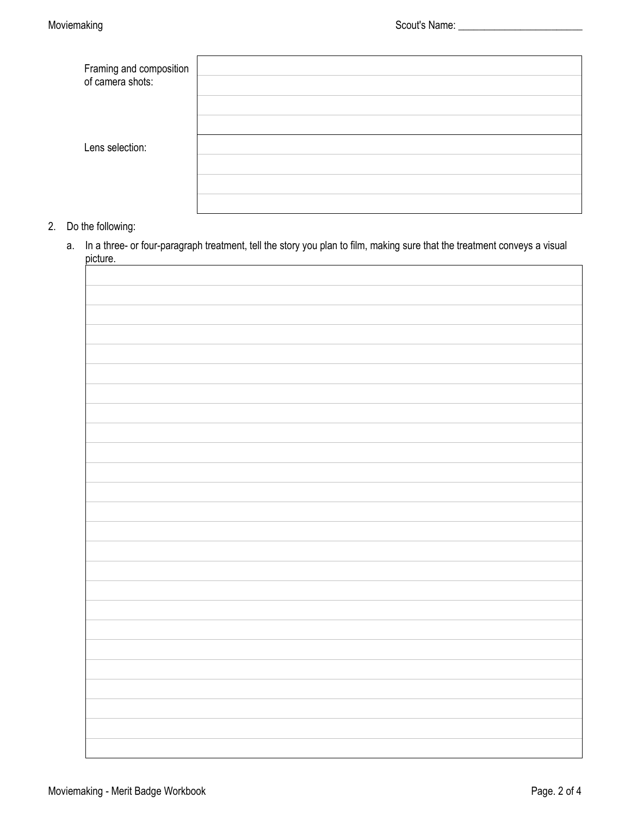| Framing and composition<br>of camera shots: |  |
|---------------------------------------------|--|
|                                             |  |
|                                             |  |
|                                             |  |
| Lens selection:                             |  |
|                                             |  |
|                                             |  |
|                                             |  |

- 2. Do the following:
	- a. In a three- or four-paragraph treatment, tell the story you plan to film, making sure that the treatment conveys a visual picture.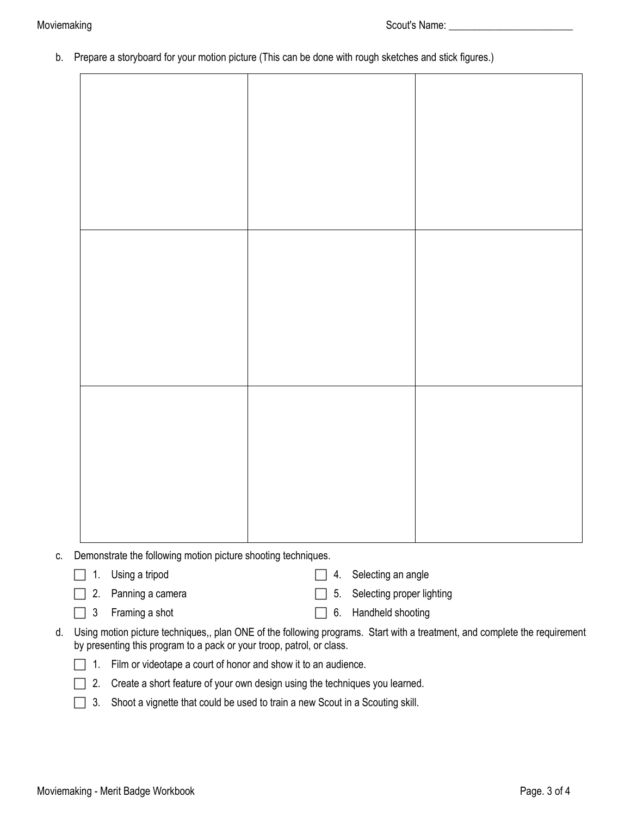b. Prepare a storyboard for your motion picture (This can be done with rough sketches and stick figures.)

- c. Demonstrate the following motion picture shooting techniques.
	-

□ 1. Using a tripod strategies are all the selecting an angle

- □ 2. Panning a camera service of the selecting proper lighting
- 
- 
- **1** 3 Framing a shot **6.** Handheld shooting
- d. Using motion picture techniques,, plan ONE of the following programs. Start with a treatment, and complete the requirement by presenting this program to a pack or your troop, patrol, or class.



- $\Box$  2. Create a short feature of your own design using the techniques you learned.
- $\Box$  3. Shoot a vignette that could be used to train a new Scout in a Scouting skill.